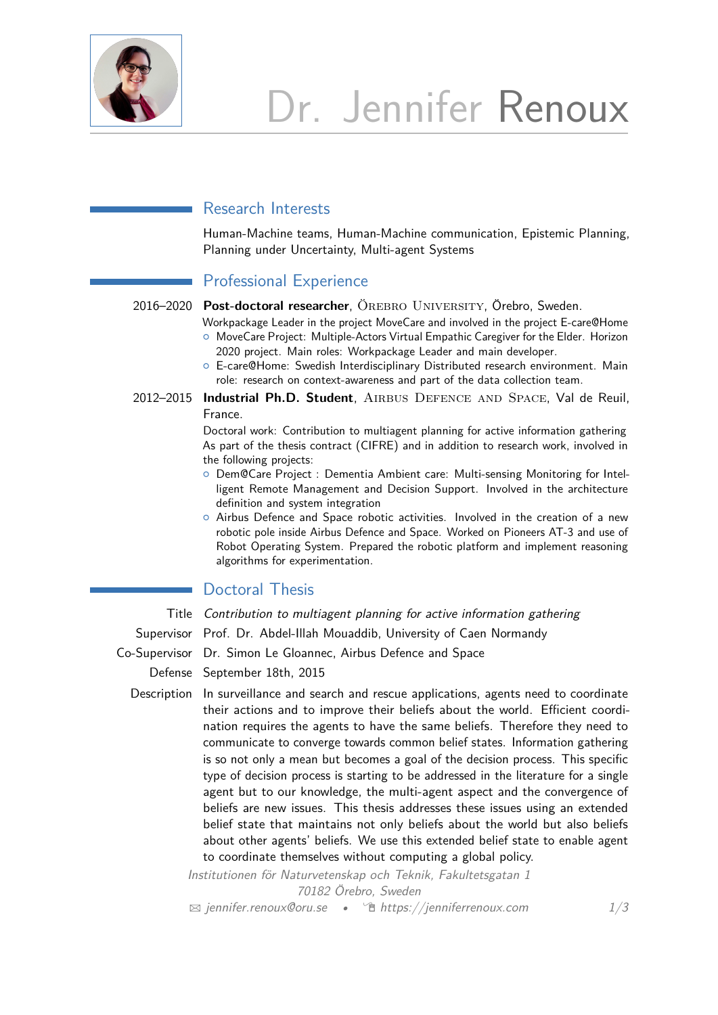

## Research Interests

Human-Machine teams, Human-Machine communication, Epistemic Planning, Planning under Uncertainty, Multi-agent Systems

# Professional Experience

2016–2020 **Post-doctoral researcher**, Örebro University, Örebro, Sweden.

- Workpackage Leader in the project MoveCare and involved in the project E-care@Home <sup>o</sup> MoveCare Project: Multiple-Actors Virtual Empathic Caregiver for the Elder. Horizon 2020 project. Main roles: Workpackage Leader and main developer.
- { E-care@Home: Swedish Interdisciplinary Distributed research environment. Main role: research on context-awareness and part of the data collection team.
- 2012–2015 **Industrial Ph.D. Student**, Airbus Defence and Space, Val de Reuil, France.

Doctoral work: Contribution to multiagent planning for active information gathering As part of the thesis contract (CIFRE) and in addition to research work, involved in the following projects:

- { Dem@Care Project : Dementia Ambient care: Multi-sensing Monitoring for Intelligent Remote Management and Decision Support. Involved in the architecture definition and system integration
- $\circ$  Airbus Defence and Space robotic activities. Involved in the creation of a new robotic pole inside Airbus Defence and Space. Worked on Pioneers AT-3 and use of Robot Operating System. Prepared the robotic platform and implement reasoning algorithms for experimentation.

# Doctoral Thesis

Title Contribution to multiagent planning for active information gathering

Supervisor Prof. Dr. Abdel-Illah Mouaddib, University of Caen Normandy

Co-Supervisor Dr. Simon Le Gloannec, Airbus Defence and Space

Defense September 18th, 2015

Description In surveillance and search and rescue applications, agents need to coordinate their actions and to improve their beliefs about the world. Efficient coordination requires the agents to have the same beliefs. Therefore they need to communicate to converge towards common belief states. Information gathering is so not only a mean but becomes a goal of the decision process. This specific type of decision process is starting to be addressed in the literature for a single agent but to our knowledge, the multi-agent aspect and the convergence of beliefs are new issues. This thesis addresses these issues using an extended belief state that maintains not only beliefs about the world but also beliefs about other agents' beliefs. We use this extended belief state to enable agent to coordinate themselves without computing a global policy.

> Institutionen för Naturvetenskap och Teknik, Fakultetsgatan 1 70182 Örebro, Sweden

 $\boxtimes$  [jennifer.renoux@oru.se](mailto:jennifer.renoux@oru.se) •  $\hat{\mathbb{E}}$  [https://jenniferrenoux.com](http://https://jenniferrenoux.com) 1[/3](#page-2-0)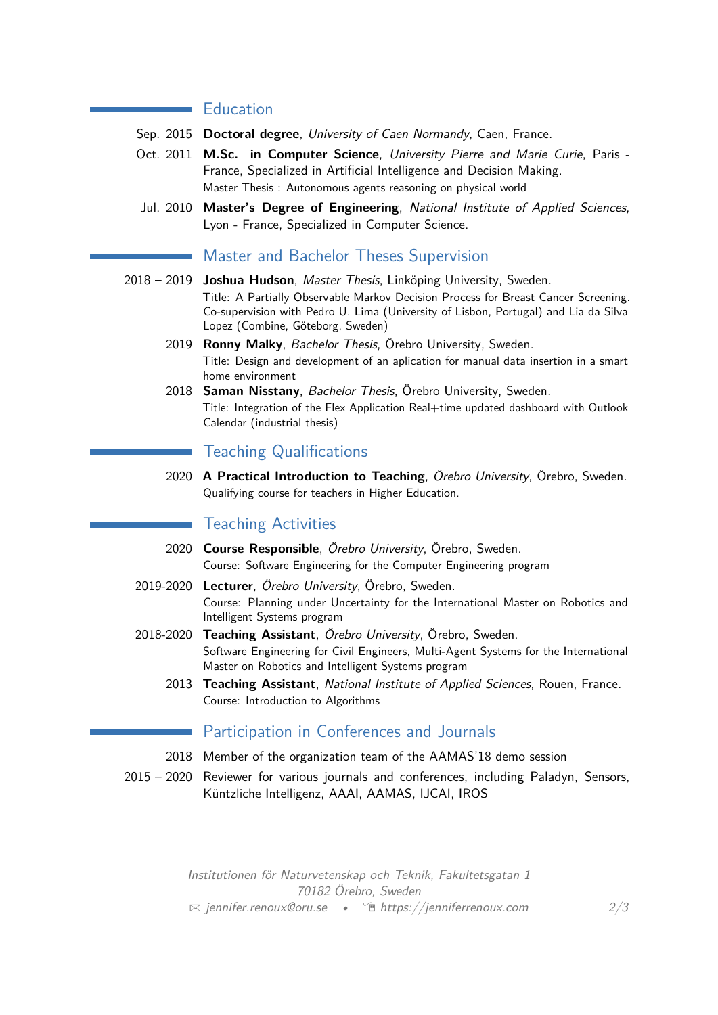### **Education**

- Sep. 2015 **Doctoral degree**, University of Caen Normandy, Caen, France.
- Oct. 2011 **M.Sc. in Computer Science**, University Pierre and Marie Curie, Paris France, Specialized in Artificial Intelligence and Decision Making. Master Thesis : Autonomous agents reasoning on physical world
- Jul. 2010 **Master's Degree of Engineering**, National Institute of Applied Sciences, Lyon - France, Specialized in Computer Science.

### Master and Bachelor Theses Supervision

- 2018 2019 **Joshua Hudson**, Master Thesis, Linköping University, Sweden. Title: A Partially Observable Markov Decision Process for Breast Cancer Screening. Co-supervision with Pedro U. Lima (University of Lisbon, Portugal) and Lia da Silva Lopez (Combine, Göteborg, Sweden)
	- 2019 **Ronny Malky**, Bachelor Thesis, Örebro University, Sweden. Title: Design and development of an aplication for manual data insertion in a smart home environment
	- 2018 **Saman Nisstany**, Bachelor Thesis, Örebro University, Sweden. Title: Integration of the Flex Application Real+time updated dashboard with Outlook Calendar (industrial thesis)

### Teaching Qualifications

2020 **A Practical Introduction to Teaching**, Örebro University, Örebro, Sweden. Qualifying course for teachers in Higher Education.

# Teaching Activities

- 2020 **Course Responsible**, Örebro University, Örebro, Sweden. Course: Software Engineering for the Computer Engineering program
- 2019-2020 **Lecturer**, Örebro University, Örebro, Sweden. Course: Planning under Uncertainty for the International Master on Robotics and Intelligent Systems program
- 2018-2020 **Teaching Assistant**, Örebro University, Örebro, Sweden. Software Engineering for Civil Engineers, Multi-Agent Systems for the International Master on Robotics and Intelligent Systems program
	- 2013 **Teaching Assistant**, National Institute of Applied Sciences, Rouen, France. Course: Introduction to Algorithms

## Participation in Conferences and Journals

- 2018 Member of the organization team of the AAMAS'18 demo session
- 2015 2020 Reviewer for various journals and conferences, including Paladyn, Sensors, Küntzliche Intelligenz, AAAI, AAMAS, IJCAI, IROS

Institutionen för Naturvetenskap och Teknik, Fakultetsgatan 1 70182 Örebro, Sweden <sup>B</sup> [jennifer.renoux@oru.se](mailto:jennifer.renoux@oru.se) • Í [https://jenniferrenoux.com](http://https://jenniferrenoux.com) 2[/3](#page-2-0)